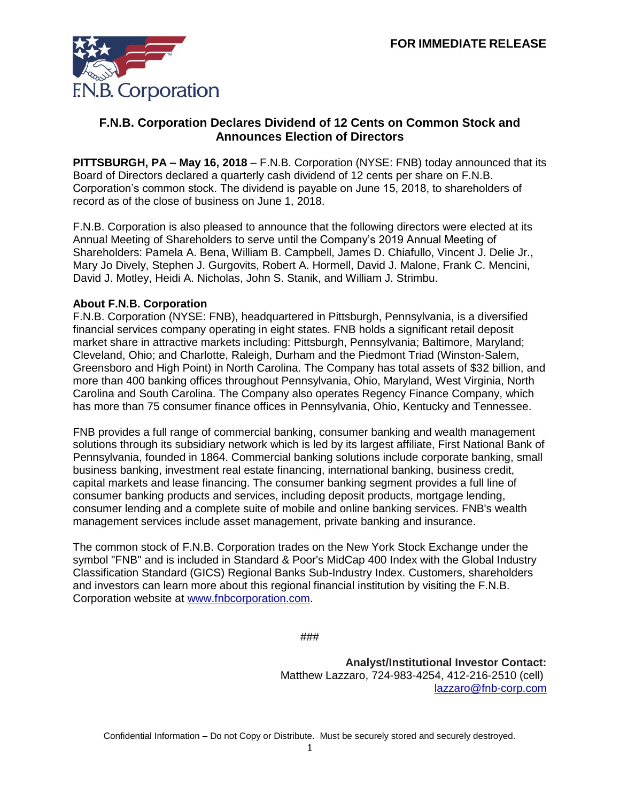

## **F.N.B. Corporation Declares Dividend of 12 Cents on Common Stock and Announces Election of Directors**

**PITTSBURGH, PA – May 16, 2018** – F.N.B. Corporation (NYSE: FNB) today announced that its Board of Directors declared a quarterly cash dividend of 12 cents per share on F.N.B. Corporation's common stock. The dividend is payable on June 15, 2018, to shareholders of record as of the close of business on June 1, 2018.

F.N.B. Corporation is also pleased to announce that the following directors were elected at its Annual Meeting of Shareholders to serve until the Company's 2019 Annual Meeting of Shareholders: Pamela A. Bena, William B. Campbell, James D. Chiafullo, Vincent J. Delie Jr., Mary Jo Dively, Stephen J. Gurgovits, Robert A. Hormell, David J. Malone, Frank C. Mencini, David J. Motley, Heidi A. Nicholas, John S. Stanik, and William J. Strimbu.

## **About F.N.B. Corporation**

F.N.B. Corporation (NYSE: FNB), headquartered in Pittsburgh, Pennsylvania, is a diversified financial services company operating in eight states. FNB holds a significant retail deposit market share in attractive markets including: Pittsburgh, Pennsylvania; Baltimore, Maryland; Cleveland, Ohio; and Charlotte, Raleigh, Durham and the Piedmont Triad (Winston-Salem, Greensboro and High Point) in North Carolina. The Company has total assets of \$32 billion, and more than 400 banking offices throughout Pennsylvania, Ohio, Maryland, West Virginia, North Carolina and South Carolina. The Company also operates Regency Finance Company, which has more than 75 consumer finance offices in Pennsylvania, Ohio, Kentucky and Tennessee.

FNB provides a full range of commercial banking, consumer banking and wealth management solutions through its subsidiary network which is led by its largest affiliate, First National Bank of Pennsylvania, founded in 1864. Commercial banking solutions include corporate banking, small business banking, investment real estate financing, international banking, business credit, capital markets and lease financing. The consumer banking segment provides a full line of consumer banking products and services, including deposit products, mortgage lending, consumer lending and a complete suite of mobile and online banking services. FNB's wealth management services include asset management, private banking and insurance.

The common stock of F.N.B. Corporation trades on the New York Stock Exchange under the symbol "FNB" and is included in Standard & Poor's MidCap 400 Index with the Global Industry Classification Standard (GICS) Regional Banks Sub-Industry Index. Customers, shareholders and investors can learn more about this regional financial institution by visiting the F.N.B. Corporation website at [www.fnbcorporation.com.](http://www.fnbcorporation.com/)

###

**Analyst/Institutional Investor Contact:**  Matthew Lazzaro, 724-983-4254, 412-216-2510 (cell) [lazzaro@fnb-corp.com](mailto:lazzaro@fnb-corp.com)